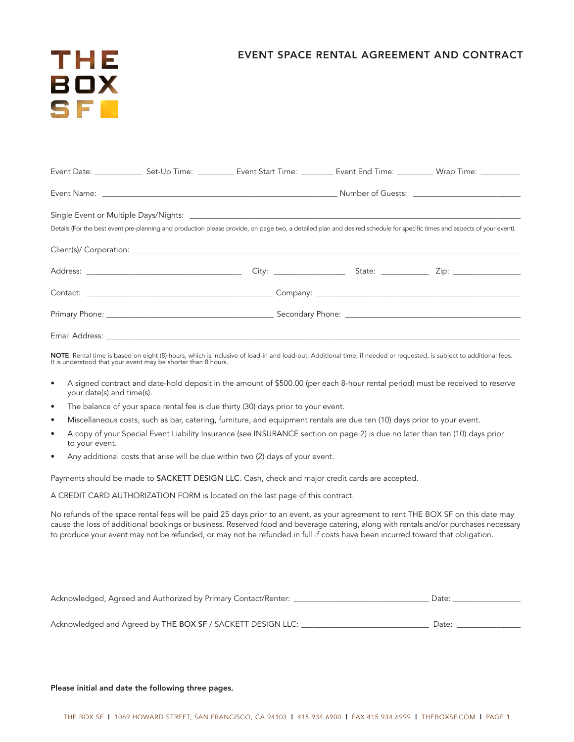

# EVENT SPACE RENTAL AGREEMENT AND CONTRACT

|                                                                                                                                                                          |  |  |  |  | Event Date: ________________ Set-Up Time: _____________ Event Start Time: ___________ Event End Time: ___________ Wrap Time: __________ |  |
|--------------------------------------------------------------------------------------------------------------------------------------------------------------------------|--|--|--|--|-----------------------------------------------------------------------------------------------------------------------------------------|--|
|                                                                                                                                                                          |  |  |  |  |                                                                                                                                         |  |
|                                                                                                                                                                          |  |  |  |  |                                                                                                                                         |  |
| Details (For the best event pre-planning and production please provide, on page two, a detailed plan and desired schedule for specific times and aspects of your event). |  |  |  |  |                                                                                                                                         |  |
|                                                                                                                                                                          |  |  |  |  |                                                                                                                                         |  |
|                                                                                                                                                                          |  |  |  |  |                                                                                                                                         |  |
|                                                                                                                                                                          |  |  |  |  |                                                                                                                                         |  |
|                                                                                                                                                                          |  |  |  |  |                                                                                                                                         |  |
|                                                                                                                                                                          |  |  |  |  |                                                                                                                                         |  |

**NOTE**: Rental time is based on eight (8) hours, which is inclusive of load-in and load-out. Additional time, if needed or requested, is subject to additional fees.<br>It is understood that your event may be shorter than 8 ho

- A signed contract and date-hold deposit in the amount of \$500.00 (per each 8-hour rental period) must be received to reserve your date(s) and time(s).
- The balance of your space rental fee is due thirty (30) days prior to your event.
- Miscellaneous costs, such as bar, catering, furniture, and equipment rentals are due ten (10) days prior to your event.
- A copy of your Special Event Liability Insurance (see INSURANCE section on page 2) is due no later than ten (10) days prior to your event.
- Any additional costs that arise will be due within two (2) days of your event.

Payments should be made to SACKETT DESIGN LLC. Cash, check and major credit cards are accepted.

A CREDIT CARD AUTHORIZATION FORM is located on the last page of this contract.

no refunds of the space rental fees will be paid 25 days prior to an event, as your agreement to rent THE BOX SF on this date may cause the loss of additional bookings or business. Reserved food and beverage catering, along with rentals and/or purchases necessary to produce your event may not be refunded, or may not be refunded in full if costs have been incurred toward that obligation.

| Acknowledged, Agreed and Authorized by Primary Contact/Renter: | Date: |
|----------------------------------------------------------------|-------|
|                                                                |       |
| Acknowledged and Agreed by THE BOX SF / SACKETT DESIGN LLC:    | Date: |

Please initial and date the following three pages.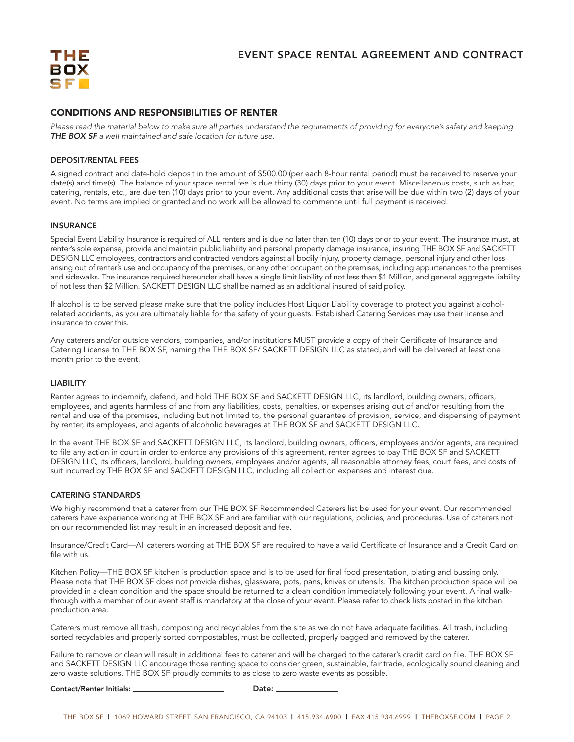

# CONDITIONS AND RESPONSIBILITIES OF RENTER

*Please read the material below to make sure all parties understand the requirements of providing for everyone's safety and keeping The Box SF a well maintained and safe location for future use.*

### DEPOSIT/RENTAL FEES

a signed contract and date-hold deposit in the amount of \$500.00 (per each 8-hour rental period) must be received to reserve your date(s) and time(s). The balance of your space rental fee is due thirty (30) days prior to your event. miscellaneous costs, such as bar, catering, rentals, etc., are due ten (10) days prior to your event. any additional costs that arise will be due within two (2) days of your event. No terms are implied or granted and no work will be allowed to commence until full payment is received.

## **INSURANCE**

Special Event Liability insurance is required of aLL renters and is due no later than ten (10) days prior to your event. The insurance must, at renter's sole expense, provide and maintain public liability and personal property damage insurance, insuring THE BOX SF and SackETT DESIGN LLC employees, contractors and contracted vendors against all bodily injury, property damage, personal injury and other loss arising out of renter's use and occupancy of the premises, or any other occupant on the premises, including appurtenances to the premises and sidewalks. The insurance required hereunder shall have a single limit liability of not less than \$1 million, and general aggregate liability of not less than \$2 Million. SACKETT DESIGN LLC shall be named as an additional insured of said policy.

if alcohol is to be served please make sure that the policy includes Host Liquor Liability coverage to protect you against alcoholrelated accidents, as you are ultimately liable for the safety of your guests. Established catering Services may use their license and insurance to cover this.

Any caterers and/or outside vendors, companies, and/or institutions MUST provide a copy of their Certificate of Insurance and catering License to THE BOX SF, naming the THE BOX SF/ SackETT dESign LLc as stated, and will be delivered at least one month prior to the event.

#### LIABILITY

Renter agrees to indemnify, defend, and hold THE BOX SF and SACKETT DESIGN LLC, its landlord, building owners, officers, employees, and agents harmless of and from any liabilities, costs, penalties, or expenses arising out of and/or resulting from the rental and use of the premises, including but not limited to, the personal guarantee of provision, service, and dispensing of payment by renter, its employees, and agents of alcoholic beverages at THE BOX SF and SACKETT DESIGN LLC.

In the event THE BOX SF and SACKETT DESIGN LLC, its landlord, building owners, officers, employees and/or agents, are required to file any action in court in order to enforce any provisions of this agreement, renter agrees to pay THE BOX SF and SackETT DESIGN LLC, its officers, landlord, building owners, employees and/or agents, all reasonable attorney fees, court fees, and costs of suit incurred by THE BOX SF and SACKETT DESIGN LLC, including all collection expenses and interest due.

# CATERING STANDARDS

we highly recommend that a caterer from our THE BOX SF recommended caterers list be used for your event. Our recommended caterers have experience working at THE BOX SF and are familiar with our regulations, policies, and procedures. Use of caterers not on our recommended list may result in an increased deposit and fee.

insurance/credit card—all caterers working at THE BOX SF are required to have a valid certificate of insurance and a credit card on file with us.

kitchen Policy—THE BOX SF kitchen is production space and is to be used for final food presentation, plating and bussing only. Please note that THE BOX SF does not provide dishes, glassware, pots, pans, knives or utensils. The kitchen production space will be provided in a clean condition and the space should be returned to a clean condition immediately following your event. a final walkthrough with a member of our event staff is mandatory at the close of your event. Please refer to check lists posted in the kitchen production area.

caterers must remove all trash, composting and recyclables from the site as we do not have adequate facilities. all trash, including sorted recyclables and properly sorted compostables, must be collected, properly bagged and removed by the caterer.

Failure to remove or clean will result in additional fees to caterer and will be charged to the caterer's credit card on file. THE BOX SF and SACKETT DESIGN LLC encourage those renting space to consider green, sustainable, fair trade, ecologically sound cleaning and zero waste solutions. THE BOX SF proudly commits to as close to zero waste events as possible.

Contact/Renter Initials: Date: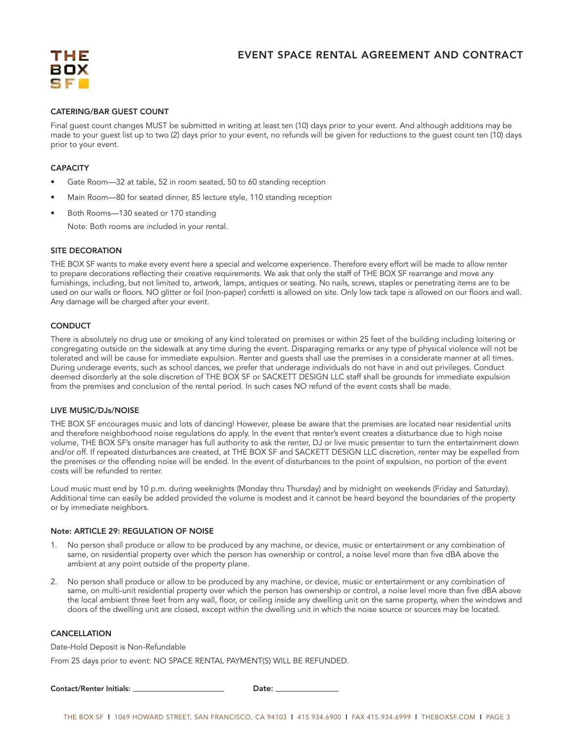

## CATERING/BAR GUEST COUNT

Final guest count changes mUST be submitted in writing at least ten (10) days prior to your event. and although additions may be made to your guest list up to two (2) days prior to your event, no refunds will be given for reductions to the guest count ten (10) days prior to your event.

## **CAPACITY**

- Gate Room—32 at table, 52 in room seated, 50 to 60 standing reception
- Main Room—80 for seated dinner, 85 lecture style, 110 standing reception
- Both Rooms-130 seated or 170 standing

Note: Both rooms are included in your rental.

# SITE DECORATION

THE BOX SF wants to make every event here a special and welcome experience. Therefore every effort will be made to allow renter to prepare decorations reflecting their creative requirements. we ask that only the staff of THE BOX SF rearrange and move any furnishings, including, but not limited to, artwork, lamps, antiques or seating. No nails, screws, staples or penetrating items are to be used on our walls or floors. nO glitter or foil (non-paper) confetti is allowed on site. Only low tack tape is allowed on our floors and wall. Any damage will be charged after your event.

# **CONDUCT**

There is absolutely no drug use or smoking of any kind tolerated on premises or within 25 feet of the building including loitering or congregating outside on the sidewalk at any time during the event. Disparaging remarks or any type of physical violence will not be tolerated and will be cause for immediate expulsion. Renter and guests shall use the premises in a considerate manner at all times. During underage events, such as school dances, we prefer that underage individuals do not have in and out privileges. Conduct deemed disorderly at the sole discretion of THE BOX SF or SACKETT DESIGN LLC staff shall be grounds for immediate expulsion from the premises and conclusion of the rental period. In such cases NO refund of the event costs shall be made.

#### LIVE MUSIC/DJs/NOISE

THE BOX SF encourages music and lots of dancing! However, please be aware that the premises are located near residential units and therefore neighborhood noise regulations do apply. in the event that renter's event creates a disturbance due to high noise volume, THE BOX SF's onsite manager has full authority to ask the renter, dJ or live music presenter to turn the entertainment down and/or off. If repeated disturbances are created, at THE BOX SF and SACKETT DESIGN LLC discretion, renter may be expelled from the premises or the offending noise will be ended. in the event of disturbances to the point of expulsion, no portion of the event costs will be refunded to renter.

Loud music must end by 10 p.m. during weeknights (Monday thru Thursday) and by midnight on weekends (Friday and Saturday). additional time can easily be added provided the volume is modest and it cannot be heard beyond the boundaries of the property or by immediate neighbors.

### Note: ARTICLE 29: REGULATION OF NOISE

- 1. no person shall produce or allow to be produced by any machine, or device, music or entertainment or any combination of same, on residential property over which the person has ownership or control, a noise level more than five dBa above the ambient at any point outside of the property plane.
- 2. No person shall produce or allow to be produced by any machine, or device, music or entertainment or any combination of same, on multi-unit residential property over which the person has ownership or control, a noise level more than five dBa above the local ambient three feet from any wall, floor, or ceiling inside any dwelling unit on the same property, when the windows and doors of the dwelling unit are closed, except within the dwelling unit in which the noise source or sources may be located.

# CANCELLATION

Date-Hold Deposit is Non-Refundable

From 25 days prior to event: NO SPACE RENTAL PAYMENT(S) WILL BE REFUNDED.

Contact/Renter Initials: Date: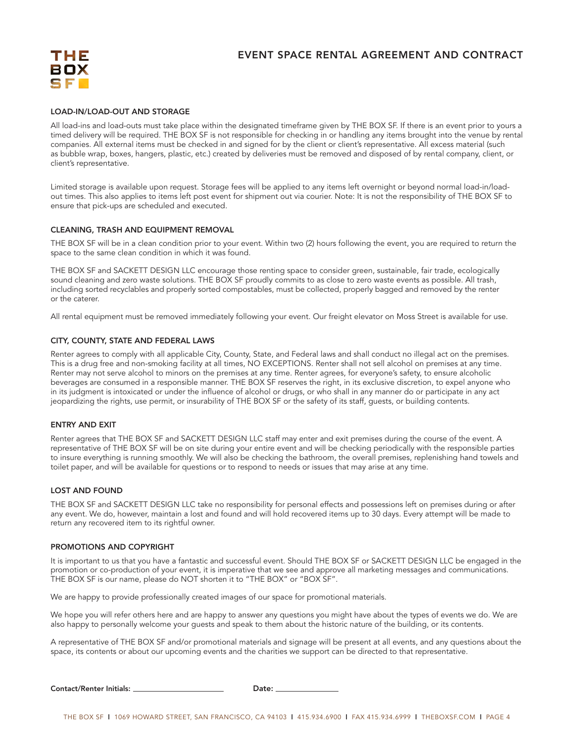# EVENT SPACE RENTAL AGREEMENT AND CONTRACT



## LOAD-IN/LOAD-OUT AND STORAGE

all load-ins and load-outs must take place within the designated timeframe given by THE BOX SF. if there is an event prior to yours a timed delivery will be required. THE BOX SF is not responsible for checking in or handling any items brought into the venue by rental companies. all external items must be checked in and signed for by the client or client's representative. all excess material (such as bubble wrap, boxes, hangers, plastic, etc.) created by deliveries must be removed and disposed of by rental company, client, or client's representative.

Limited storage is available upon request. Storage fees will be applied to any items left overnight or beyond normal load-in/loadout times. This also applies to items left post event for shipment out via courier. note: it is not the responsibility of THE BOX SF to ensure that pick-ups are scheduled and executed.

## CLEANING, TRASH AND EQUIPMENT REMOVAL

THE BOX SF will be in a clean condition prior to your event. within two (2) hours following the event, you are required to return the space to the same clean condition in which it was found.

THE BOX SF and SACKETT DESIGN LLC encourage those renting space to consider green, sustainable, fair trade, ecologically sound cleaning and zero waste solutions. THE BOX SF proudly commits to as close to zero waste events as possible. all trash, including sorted recyclables and properly sorted compostables, must be collected, properly bagged and removed by the renter or the caterer.

all rental equipment must be removed immediately following your event. Our freight elevator on moss Street is available for use.

## CITY, COUNTY, STATE AND FEDERAL LAWS

Renter agrees to comply with all applicable City, County, State, and Federal laws and shall conduct no illegal act on the premises. This is a drug free and non-smoking facility at all times, NO EXCEPTIONS. Renter shall not sell alcohol on premises at any time. Renter may not serve alcohol to minors on the premises at any time. Renter agrees, for everyone's safety, to ensure alcoholic beverages are consumed in a responsible manner. THE BOX SF reserves the right, in its exclusive discretion, to expel anyone who in its judgment is intoxicated or under the influence of alcohol or drugs, or who shall in any manner do or participate in any act jeopardizing the rights, use permit, or insurability of THE BOX SF or the safety of its staff, guests, or building contents.

### ENTRY AND EXIT

Renter agrees that THE BOX SF and SACKETT DESIGN LLC staff may enter and exit premises during the course of the event. A representative of THE BOX SF will be on site during your entire event and will be checking periodically with the responsible parties to insure everything is running smoothly. we will also be checking the bathroom, the overall premises, replenishing hand towels and toilet paper, and will be available for questions or to respond to needs or issues that may arise at any time.

## LOST AND FOUND

THE BOX SF and SACKETT DESIGN LLC take no responsibility for personal effects and possessions left on premises during or after any event. we do, however, maintain a lost and found and will hold recovered items up to 30 days. Every attempt will be made to return any recovered item to its rightful owner.

#### PROMOTIONS AND COPYRIGHT

It is important to us that you have a fantastic and successful event. Should THE BOX SF or SACKETT DESIGN LLC be engaged in the promotion or co-production of your event, it is imperative that we see and approve all marketing messages and communications. THE BOX SF is our name, please do nOT shorten it to "THE BOX" or "BOX SF".

we are happy to provide professionally created images of our space for promotional materials.

we hope you will refer others here and are happy to answer any questions you might have about the types of events we do. we are also happy to personally welcome your guests and speak to them about the historic nature of the building, or its contents.

a representative of THE BOX SF and/or promotional materials and signage will be present at all events, and any questions about the space, its contents or about our upcoming events and the charities we support can be directed to that representative.

Contact/Renter Initials: \_\_\_\_\_\_\_\_\_\_\_\_\_\_\_\_\_\_\_\_\_\_\_\_\_\_\_\_\_\_\_\_\_\_\_Date: \_\_\_